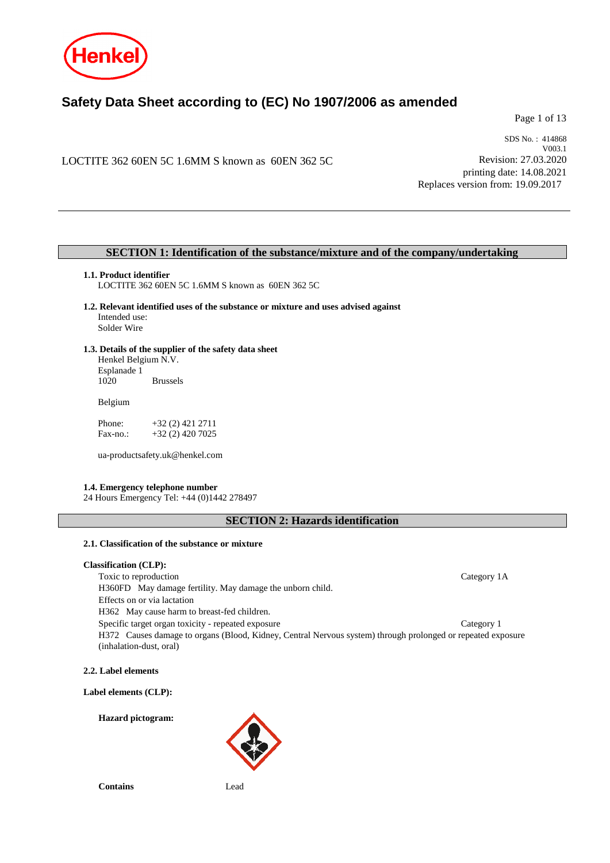

# **Safety Data Sheet according to (EC) No 1907/2006 as amended**

Page 1 of 13

LOCTITE 362 60EN 5C 1.6MM S known as 60EN 362 5C

SDS No. : 414868 V003.1 Revision: 27.03.2020 printing date: 14.08.2021 Replaces version from: 19.09.2017

### **SECTION 1: Identification of the substance/mixture and of the company/undertaking**

#### **1.1. Product identifier**

LOCTITE 362 60EN 5C 1.6MM S known as 60EN 362 5C

- **1.2. Relevant identified uses of the substance or mixture and uses advised against** Intended use: Solder Wire
- **1.3. Details of the supplier of the safety data sheet** Henkel Belgium N.V. Esplanade 1 **Brussels**

Belgium

Phone: +32 (2) 421 2711 Fax-no.: +32 (2) 420 7025

ua-productsafety.uk@henkel.com

#### **1.4. Emergency telephone number**

24 Hours Emergency Tel: +44 (0)1442 278497

**SECTION 2: Hazards identification**

### **2.1. Classification of the substance or mixture**

### **Classification (CLP):**

Toxic to reproduction Category 1A H360FD May damage fertility. May damage the unborn child. Effects on or via lactation H362 May cause harm to breast-fed children. Specific target organ toxicity - repeated exposure Category 1 H372 Causes damage to organs (Blood, Kidney, Central Nervous system) through prolonged or repeated exposure (inhalation-dust, oral)

**2.2. Label elements**

**Label elements (CLP):**

**Hazard pictogram:**



**Contains** Lead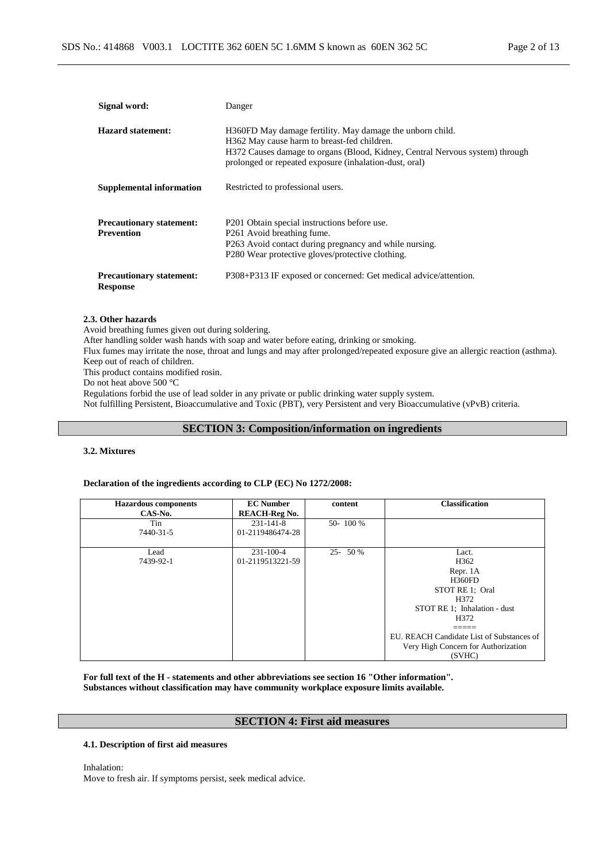| Signal word:                                         | Danger                                                                                                                                                                                                                                             |
|------------------------------------------------------|----------------------------------------------------------------------------------------------------------------------------------------------------------------------------------------------------------------------------------------------------|
| Hazard statement:                                    | H360FD May damage fertility. May damage the unborn child.<br>H362 May cause harm to breast-fed children.<br>H372 Causes damage to organs (Blood, Kidney, Central Nervous system) through<br>prolonged or repeated exposure (inhalation-dust, oral) |
| Supplemental information                             | Restricted to professional users.                                                                                                                                                                                                                  |
| <b>Precautionary statement:</b><br><b>Prevention</b> | P201 Obtain special instructions before use.<br>P <sub>261</sub> Avoid breathing fume.<br>P263 Avoid contact during pregnancy and while nursing.<br>P280 Wear protective gloves/protective clothing.                                               |
| <b>Precautionary statement:</b><br><b>Response</b>   | P308+P313 IF exposed or concerned: Get medical advice/attention.                                                                                                                                                                                   |

#### **2.3. Other hazards**

Avoid breathing fumes given out during soldering.

After handling solder wash hands with soap and water before eating, drinking or smoking.

Flux fumes may irritate the nose, throat and lungs and may after prolonged/repeated exposure give an allergic reaction (asthma).

Keep out of reach of children.

This product contains modified rosin.

Do not heat above 500 °C

Regulations forbid the use of lead solder in any private or public drinking water supply system.

Not fulfilling Persistent, Bioaccumulative and Toxic (PBT), very Persistent and very Bioaccumulative (vPvB) criteria.

### **SECTION 3: Composition/information on ingredients**

#### **3.2. Mixtures**

#### **Declaration of the ingredients according to CLP (EC) No 1272/2008:**

| <b>Hazardous components</b> | <b>EC Number</b>     | content    | <b>Classification</b>                     |
|-----------------------------|----------------------|------------|-------------------------------------------|
| CAS-No.                     | <b>REACH-Reg No.</b> |            |                                           |
| Tin                         | $231 - 141 - 8$      | 50-100 %   |                                           |
| 7440-31-5                   | 01-2119486474-28     |            |                                           |
|                             |                      |            |                                           |
| Lead                        | $231 - 100 - 4$      | $25 - 50%$ | Lact.                                     |
| 7439-92-1                   | 01-2119513221-59     |            | H <sub>362</sub>                          |
|                             |                      |            | Repr. 1A                                  |
|                             |                      |            | <b>H360FD</b>                             |
|                             |                      |            | STOT RE 1: Oral                           |
|                             |                      |            | H372                                      |
|                             |                      |            | STOT RE 1; Inhalation - dust              |
|                             |                      |            | H372                                      |
|                             |                      |            |                                           |
|                             |                      |            | EU. REACH Candidate List of Substances of |
|                             |                      |            | Very High Concern for Authorization       |
|                             |                      |            | (SVHC)                                    |

**For full text of the H - statements and other abbreviations see section 16 "Other information". Substances without classification may have community workplace exposure limits available.**

### **SECTION 4: First aid measures**

#### **4.1. Description of first aid measures**

Inhalation:

Move to fresh air. If symptoms persist, seek medical advice.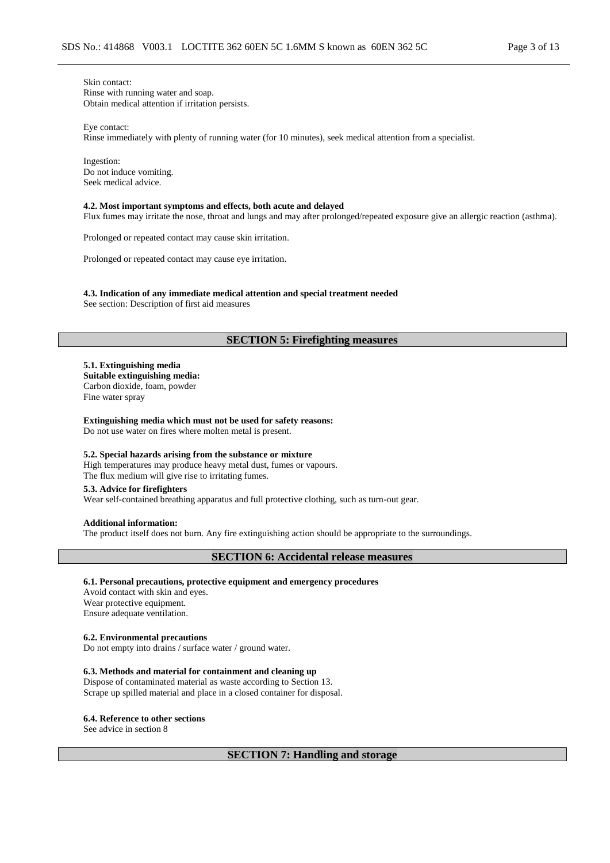Skin contact: Rinse with running water and soap. Obtain medical attention if irritation persists.

Eye contact:

Rinse immediately with plenty of running water (for 10 minutes), seek medical attention from a specialist.

Ingestion: Do not induce vomiting. Seek medical advice.

#### **4.2. Most important symptoms and effects, both acute and delayed**

Flux fumes may irritate the nose, throat and lungs and may after prolonged/repeated exposure give an allergic reaction (asthma).

Prolonged or repeated contact may cause skin irritation.

Prolonged or repeated contact may cause eye irritation.

**4.3. Indication of any immediate medical attention and special treatment needed** See section: Description of first aid measures

#### **SECTION 5: Firefighting measures**

**5.1. Extinguishing media Suitable extinguishing media:** Carbon dioxide, foam, powder Fine water spray

**Extinguishing media which must not be used for safety reasons:** Do not use water on fires where molten metal is present.

#### **5.2. Special hazards arising from the substance or mixture**

High temperatures may produce heavy metal dust, fumes or vapours. The flux medium will give rise to irritating fumes.

#### **5.3. Advice for firefighters**

Wear self-contained breathing apparatus and full protective clothing, such as turn-out gear.

**Additional information:**

The product itself does not burn. Any fire extinguishing action should be appropriate to the surroundings.

### **SECTION 6: Accidental release measures**

#### **6.1. Personal precautions, protective equipment and emergency procedures**

Avoid contact with skin and eyes. Wear protective equipment. Ensure adequate ventilation.

#### **6.2. Environmental precautions**

Do not empty into drains / surface water / ground water.

#### **6.3. Methods and material for containment and cleaning up**

Dispose of contaminated material as waste according to Section 13. Scrape up spilled material and place in a closed container for disposal.

**6.4. Reference to other sections**

See advice in section 8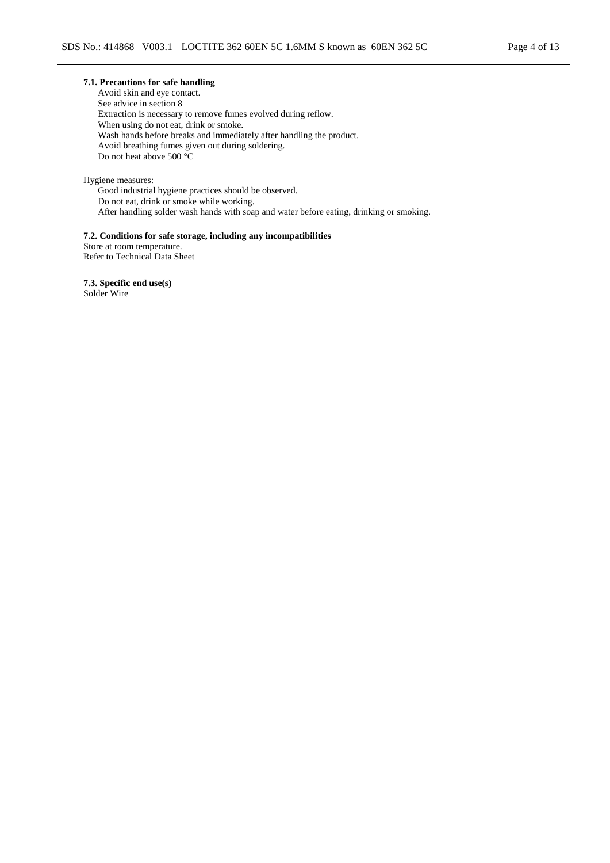Avoid skin and eye contact. See advice in section 8 Extraction is necessary to remove fumes evolved during reflow. When using do not eat, drink or smoke. Wash hands before breaks and immediately after handling the product. Avoid breathing fumes given out during soldering. Do not heat above 500 °C

Hygiene measures:

Good industrial hygiene practices should be observed. Do not eat, drink or smoke while working. After handling solder wash hands with soap and water before eating, drinking or smoking.

#### **7.2. Conditions for safe storage, including any incompatibilities**

Store at room temperature. Refer to Technical Data Sheet

**7.3. Specific end use(s)** Solder Wire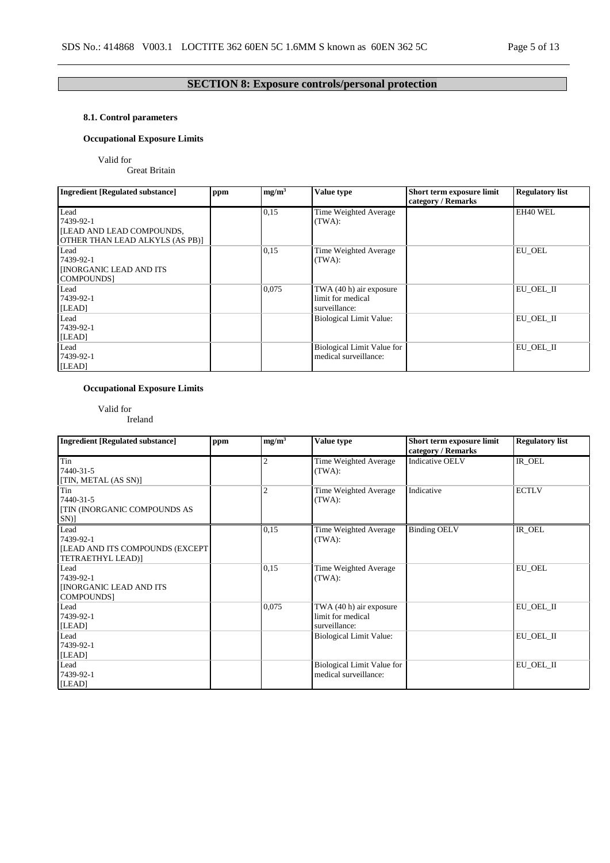# **SECTION 8: Exposure controls/personal protection**

### **8.1. Control parameters**

### **Occupational Exposure Limits**

Valid for

Great Britain

| <b>Ingredient [Regulated substance]</b>                                           | ppm | mg/m <sup>3</sup> | <b>Value type</b>                                             | Short term exposure limit<br>category / Remarks | <b>Regulatory list</b> |
|-----------------------------------------------------------------------------------|-----|-------------------|---------------------------------------------------------------|-------------------------------------------------|------------------------|
| Lead<br>7439-92-1<br>ILEAD AND LEAD COMPOUNDS,<br>OTHER THAN LEAD ALKYLS (AS PB)] |     | 0,15              | Time Weighted Average<br>(TWA):                               |                                                 | EH40 WEL               |
| Lead<br>7439-92-1<br><b>INORGANIC LEAD AND ITS</b><br><b>COMPOUNDS</b>            |     | 0,15              | Time Weighted Average<br>(TWA):                               |                                                 | <b>EU OEL</b>          |
| Lead<br>7439-92-1<br>[LEAD]                                                       |     | 0,075             | TWA (40 h) air exposure<br>limit for medical<br>surveillance: |                                                 | EU OEL II              |
| Lead<br>7439-92-1<br>[LEAD]                                                       |     |                   | <b>Biological Limit Value:</b>                                |                                                 | EU OEL II              |
| Lead<br>7439-92-1<br>[LEAD]                                                       |     |                   | Biological Limit Value for<br>medical surveillance:           |                                                 | EU OEL II              |

### **Occupational Exposure Limits**

Valid for Ireland

| <b>Ingredient [Regulated substance]</b>                                   | ppm | mg/m <sup>3</sup> | Value type                                                    | Short term exposure limit<br>category / Remarks | <b>Regulatory list</b> |
|---------------------------------------------------------------------------|-----|-------------------|---------------------------------------------------------------|-------------------------------------------------|------------------------|
| Tin<br>7440-31-5<br>[TIN, METAL (AS SN)]                                  |     | 2                 | Time Weighted Average<br>(TWA):                               | <b>Indicative OELV</b>                          | IR OEL                 |
| Tin<br>7440-31-5<br><b>[TIN (INORGANIC COMPOUNDS AS</b><br>$SN$ ]         |     | $\overline{2}$    | Time Weighted Average<br>(TWA):                               | Indicative                                      | <b>ECTLV</b>           |
| Lead<br>7439-92-1<br>[LEAD AND ITS COMPOUNDS (EXCEPT<br>TETRAETHYL LEAD)] |     | 0,15              | Time Weighted Average<br>(TWA):                               | <b>Binding OELV</b>                             | IR OEL                 |
| Lead<br>7439-92-1<br><b>INORGANIC LEAD AND ITS</b><br>COMPOUNDS]          |     | 0,15              | Time Weighted Average<br>(TWA):                               |                                                 | EU_OEL                 |
| Lead<br>7439-92-1<br>[LEAD]                                               |     | 0,075             | TWA (40 h) air exposure<br>limit for medical<br>surveillance: |                                                 | EU_OEL_II              |
| Lead<br>7439-92-1<br>[LEAD]                                               |     |                   | <b>Biological Limit Value:</b>                                |                                                 | EU_OEL_II              |
| Lead<br>7439-92-1<br>[LEAD]                                               |     |                   | Biological Limit Value for<br>medical surveillance:           |                                                 | EU OEL II              |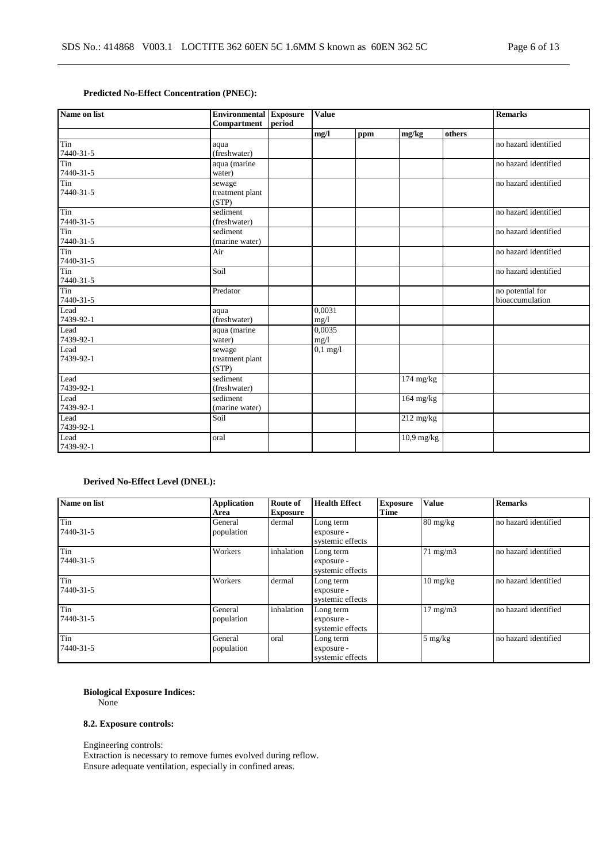### **Predicted No-Effect Concentration (PNEC):**

| Name on list     | <b>Environmental Exposure</b><br>Compartment | period | <b>Value</b> |     |                     |        | <b>Remarks</b>       |
|------------------|----------------------------------------------|--------|--------------|-----|---------------------|--------|----------------------|
|                  |                                              |        | mg/l         | ppm | mg/kg               | others |                      |
| Tin              | aqua                                         |        |              |     |                     |        | no hazard identified |
| 7440-31-5        | (freshwater)                                 |        |              |     |                     |        |                      |
| Tin              | aqua (marine                                 |        |              |     |                     |        | no hazard identified |
| 7440-31-5        | water)                                       |        |              |     |                     |        |                      |
| Tin              | sewage                                       |        |              |     |                     |        | no hazard identified |
| 7440-31-5        | treatment plant                              |        |              |     |                     |        |                      |
|                  | (STP)                                        |        |              |     |                     |        |                      |
| Tin<br>7440-31-5 | sediment                                     |        |              |     |                     |        | no hazard identified |
|                  | (freshwater)                                 |        |              |     |                     |        |                      |
| Tin<br>7440-31-5 | sediment<br>(marine water)                   |        |              |     |                     |        | no hazard identified |
| Tin              | Air                                          |        |              |     |                     |        | no hazard identified |
| $7440 - 31 - 5$  |                                              |        |              |     |                     |        |                      |
| Tin              | Soil                                         |        |              |     |                     |        | no hazard identified |
| 7440-31-5        |                                              |        |              |     |                     |        |                      |
| Tin              | Predator                                     |        |              |     |                     |        | no potential for     |
| 7440-31-5        |                                              |        |              |     |                     |        | bioaccumulation      |
| Lead             | aqua                                         |        | 0.0031       |     |                     |        |                      |
| 7439-92-1        | (freshwater)                                 |        | mg/1         |     |                     |        |                      |
| Lead             | aqua (marine                                 |        | 0,0035       |     |                     |        |                      |
| 7439-92-1        | water)                                       |        | mg/1         |     |                     |        |                      |
| Lead             | sewage                                       |        | $0,1$ mg/l   |     |                     |        |                      |
| 7439-92-1        | treatment plant                              |        |              |     |                     |        |                      |
|                  | (STP)                                        |        |              |     |                     |        |                      |
| Lead             | sediment                                     |        |              |     | $174 \text{ mg/kg}$ |        |                      |
| 7439-92-1        | (freshwater)                                 |        |              |     |                     |        |                      |
| Lead             | sediment                                     |        |              |     | $164$ mg/kg         |        |                      |
| 7439-92-1        | (marine water)                               |        |              |     |                     |        |                      |
| Lead             | Soil                                         |        |              |     | $212$ mg/kg         |        |                      |
| 7439-92-1        |                                              |        |              |     |                     |        |                      |
| Lead             | oral                                         |        |              |     | $10.9$ mg/kg        |        |                      |
| 7439-92-1        |                                              |        |              |     |                     |        |                      |

### **Derived No-Effect Level (DNEL):**

| Name on list    | <b>Application</b> | <b>Route of</b> | <b>Health Effect</b> | <b>Exposure</b> | <b>Value</b>       | <b>Remarks</b>       |
|-----------------|--------------------|-----------------|----------------------|-----------------|--------------------|----------------------|
|                 | Area               | <b>Exposure</b> |                      | <b>Time</b>     |                    |                      |
| Tin             | General            | dermal          | Long term            |                 | $80 \text{ mg/kg}$ | no hazard identified |
| 7440-31-5       | population         |                 | exposure -           |                 |                    |                      |
|                 |                    |                 | systemic effects     |                 |                    |                      |
| $T_{\text{in}}$ | Workers            | inhalation      | Long term            |                 | $71 \text{ mg/m}$  | no hazard identified |
| 7440-31-5       |                    |                 | exposure -           |                 |                    |                      |
|                 |                    |                 | systemic effects     |                 |                    |                      |
| Tin             | Workers            | dermal          | Long term            |                 | $10 \text{ mg/kg}$ | no hazard identified |
| 7440-31-5       |                    |                 | exposure -           |                 |                    |                      |
|                 |                    |                 | systemic effects     |                 |                    |                      |
| Tin             | General            | inhalation      | Long term            |                 | $17 \text{ mg/m}$  | no hazard identified |
| 7440-31-5       | population         |                 | exposure -           |                 |                    |                      |
|                 |                    |                 | systemic effects     |                 |                    |                      |
| Tin             | General            | oral            | Long term            |                 | $5 \text{ mg/kg}$  | no hazard identified |
| 7440-31-5       | population         |                 | exposure -           |                 |                    |                      |
|                 |                    |                 | systemic effects     |                 |                    |                      |

### **Biological Exposure Indices:**

None

### **8.2. Exposure controls:**

Engineering controls:

Extraction is necessary to remove fumes evolved during reflow. Ensure adequate ventilation, especially in confined areas.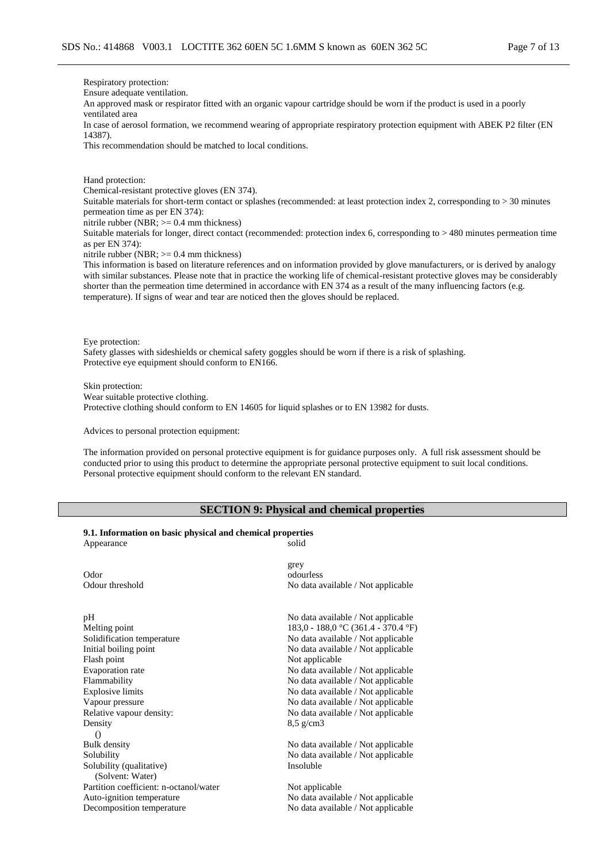Respiratory protection:

Ensure adequate ventilation.

An approved mask or respirator fitted with an organic vapour cartridge should be worn if the product is used in a poorly ventilated area

In case of aerosol formation, we recommend wearing of appropriate respiratory protection equipment with ABEK P2 filter (EN 14387).

This recommendation should be matched to local conditions.

Hand protection:

Chemical-resistant protective gloves (EN 374).

Suitable materials for short-term contact or splashes (recommended: at least protection index 2, corresponding to > 30 minutes permeation time as per EN 374):

nitrile rubber (NBR; >= 0.4 mm thickness)

Suitable materials for longer, direct contact (recommended: protection index 6, corresponding to > 480 minutes permeation time as per EN 374):

nitrile rubber (NBR; >= 0.4 mm thickness)

This information is based on literature references and on information provided by glove manufacturers, or is derived by analogy with similar substances. Please note that in practice the working life of chemical-resistant protective gloves may be considerably shorter than the permeation time determined in accordance with EN 374 as a result of the many influencing factors (e.g. temperature). If signs of wear and tear are noticed then the gloves should be replaced.

Eye protection:

Safety glasses with sideshields or chemical safety goggles should be worn if there is a risk of splashing. Protective eye equipment should conform to EN166.

Skin protection: Wear suitable protective clothing. Protective clothing should conform to EN 14605 for liquid splashes or to EN 13982 for dusts.

Advices to personal protection equipment:

The information provided on personal protective equipment is for guidance purposes only. A full risk assessment should be conducted prior to using this product to determine the appropriate personal protective equipment to suit local conditions. Personal protective equipment should conform to the relevant EN standard.

### **SECTION 9: Physical and chemical properties**

#### **9.1. Information on basic physical and chemical properties**

| Appearance                                   | solid                                                   |
|----------------------------------------------|---------------------------------------------------------|
| Odor<br>Odour threshold                      | grey<br>odourless<br>No data available / Not applicable |
|                                              |                                                         |
| pH                                           | No data available / Not applicable                      |
| Melting point                                | 183,0 - 188,0 °C (361.4 - 370.4 °F)                     |
| Solidification temperature                   | No data available / Not applicable                      |
| Initial boiling point                        | No data available / Not applicable                      |
| Flash point                                  | Not applicable                                          |
| Evaporation rate                             | No data available / Not applicable                      |
| Flammability                                 | No data available / Not applicable                      |
| <b>Explosive limits</b>                      | No data available / Not applicable                      |
| Vapour pressure                              | No data available / Not applicable                      |
| Relative vapour density:                     | No data available / Not applicable                      |
| Density                                      | $8,5 \text{ g/cm}$                                      |
| $\left( \right)$                             |                                                         |
| Bulk density                                 | No data available / Not applicable                      |
| Solubility                                   | No data available / Not applicable                      |
| Solubility (qualitative)<br>(Solvent: Water) | Insoluble                                               |
| Partition coefficient: n-octanol/water       | Not applicable                                          |
| Auto-ignition temperature                    | No data available / Not applicable                      |
| Decomposition temperature                    | No data available / Not applicable                      |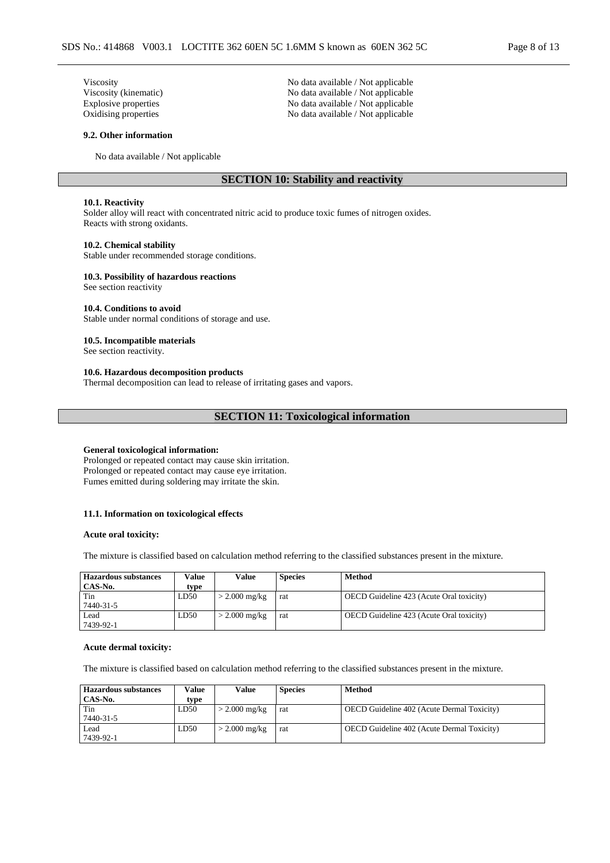Viscosity No data available / Not applicable Viscosity (kinematic) No data available / Not applicable Explosive properties No data available / Not applicable Oxidising properties No data available / Not applicable

#### **9.2. Other information**

No data available / Not applicable

### **SECTION 10: Stability and reactivity**

#### **10.1. Reactivity**

Solder alloy will react with concentrated nitric acid to produce toxic fumes of nitrogen oxides. Reacts with strong oxidants.

#### **10.2. Chemical stability**

Stable under recommended storage conditions.

#### **10.3. Possibility of hazardous reactions**

See section reactivity

#### **10.4. Conditions to avoid**

Stable under normal conditions of storage and use.

#### **10.5. Incompatible materials**

See section reactivity.

#### **10.6. Hazardous decomposition products**

Thermal decomposition can lead to release of irritating gases and vapors.

#### **SECTION 11: Toxicological information**

#### **General toxicological information:**

Prolonged or repeated contact may cause skin irritation. Prolonged or repeated contact may cause eye irritation. Fumes emitted during soldering may irritate the skin.

#### **11.1. Information on toxicological effects**

#### **Acute oral toxicity:**

The mixture is classified based on calculation method referring to the classified substances present in the mixture.

| <b>Hazardous substances</b> | Value | Value           | <b>Species</b> | <b>Method</b>                                   |
|-----------------------------|-------|-----------------|----------------|-------------------------------------------------|
| CAS-No.                     | type  |                 |                |                                                 |
| Tin                         | LD50  | $>$ 2.000 mg/kg | rat            | <b>OECD</b> Guideline 423 (Acute Oral toxicity) |
| 7440-31-5                   |       |                 |                |                                                 |
| Lead                        | LD50  | $>$ 2.000 mg/kg | rat            | OECD Guideline 423 (Acute Oral toxicity)        |
| 7439-92-1                   |       |                 |                |                                                 |

#### **Acute dermal toxicity:**

The mixture is classified based on calculation method referring to the classified substances present in the mixture.

| Value | Value               | <b>Species</b> | Method                                            |
|-------|---------------------|----------------|---------------------------------------------------|
| type  |                     |                |                                                   |
| LD50  | $>$ 2.000 mg/kg     | rat            | <b>OECD</b> Guideline 402 (Acute Dermal Toxicity) |
|       |                     |                |                                                   |
| LD50  | $\cdot$ 2.000 mg/kg | rat            | <b>OECD</b> Guideline 402 (Acute Dermal Toxicity) |
|       |                     |                |                                                   |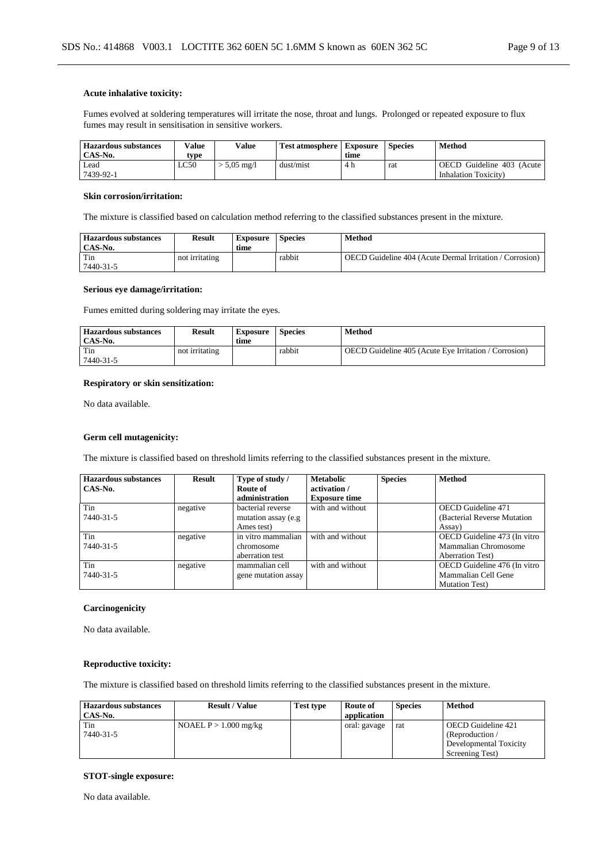#### **Acute inhalative toxicity:**

Fumes evolved at soldering temperatures will irritate the nose, throat and lungs. Prolonged or repeated exposure to flux fumes may result in sensitisation in sensitive workers.

| <b>Hazardous substances</b> | Value | Value               | <b>Test atmosphere</b> | <b>Exposure</b> | <b>Species</b> | Method                    |
|-----------------------------|-------|---------------------|------------------------|-----------------|----------------|---------------------------|
| CAS-No.                     | tvpe  |                     |                        | time            |                |                           |
| Lead                        | LC50  | $5.05 \text{ me}/1$ | dust/mist              | 4 h             | rat            | OECD Guideline 403 (Acute |
| 7439-92-1                   |       |                     |                        |                 |                | Inhalation Toxicity)      |

#### **Skin corrosion/irritation:**

The mixture is classified based on calculation method referring to the classified substances present in the mixture.

| <b>Hazardous substances</b><br>CAS-No. | Result         | <b>Exposure</b><br>time | <b>Species</b> | Method                                                   |
|----------------------------------------|----------------|-------------------------|----------------|----------------------------------------------------------|
| Tin                                    | not irritating |                         | rabbit         | OECD Guideline 404 (Acute Dermal Irritation / Corrosion) |
| 7440-31-5                              |                |                         |                |                                                          |

#### **Serious eye damage/irritation:**

Fumes emitted during soldering may irritate the eyes.

| <b>Hazardous substances</b><br>CAS-No. | <b>Result</b>  | <b>Exposure</b><br>time | <b>Species</b> | Method                                                       |
|----------------------------------------|----------------|-------------------------|----------------|--------------------------------------------------------------|
| Tin<br>7440-31-5                       | not irritating |                         | rabbit         | <b>OECD</b> Guideline 405 (Acute Eye Irritation / Corrosion) |

#### **Respiratory or skin sensitization:**

No data available.

#### **Germ cell mutagenicity:**

The mixture is classified based on threshold limits referring to the classified substances present in the mixture.

| <b>Hazardous substances</b><br>CAS-No. | <b>Result</b> | Type of study /<br>Route of | <b>Metabolic</b><br>activation / | <b>Species</b> | <b>Method</b>                |
|----------------------------------------|---------------|-----------------------------|----------------------------------|----------------|------------------------------|
|                                        |               | administration              | <b>Exposure time</b>             |                |                              |
| Tin                                    | negative      | bacterial reverse           | with and without                 |                | <b>OECD</b> Guideline 471    |
| 7440-31-5                              |               | mutation assay (e.g.        |                                  |                | (Bacterial Reverse Mutation) |
|                                        |               | Ames test)                  |                                  |                | Assay)                       |
| Tin                                    | negative      | in vitro mammalian          | with and without                 |                | OECD Guideline 473 (In vitro |
| 7440-31-5                              |               | chromosome                  |                                  |                | Mammalian Chromosome         |
|                                        |               | aberration test             |                                  |                | <b>Aberration Test</b> )     |
| Tin                                    | negative      | mammalian cell              | with and without                 |                | OECD Guideline 476 (In vitro |
| 7440-31-5                              |               | gene mutation assay         |                                  |                | Mammalian Cell Gene          |
|                                        |               |                             |                                  |                | <b>Mutation Test</b> )       |

#### **Carcinogenicity**

No data available.

#### **Reproductive toxicity:**

The mixture is classified based on threshold limits referring to the classified substances present in the mixture.

| <b>Hazardous substances</b> | <b>Result / Value</b>   | Test type | Route of     | <b>Species</b> | Method                 |
|-----------------------------|-------------------------|-----------|--------------|----------------|------------------------|
| CAS-No.                     |                         |           | application  |                |                        |
| Tin                         | NOAEL $P > 1.000$ mg/kg |           | oral: gavage | rat            | OECD Guideline 421     |
| 7440-31-5                   |                         |           |              |                | (Reproduction /        |
|                             |                         |           |              |                | Developmental Toxicity |
|                             |                         |           |              |                | Screening Test)        |

#### **STOT-single exposure:**

No data available.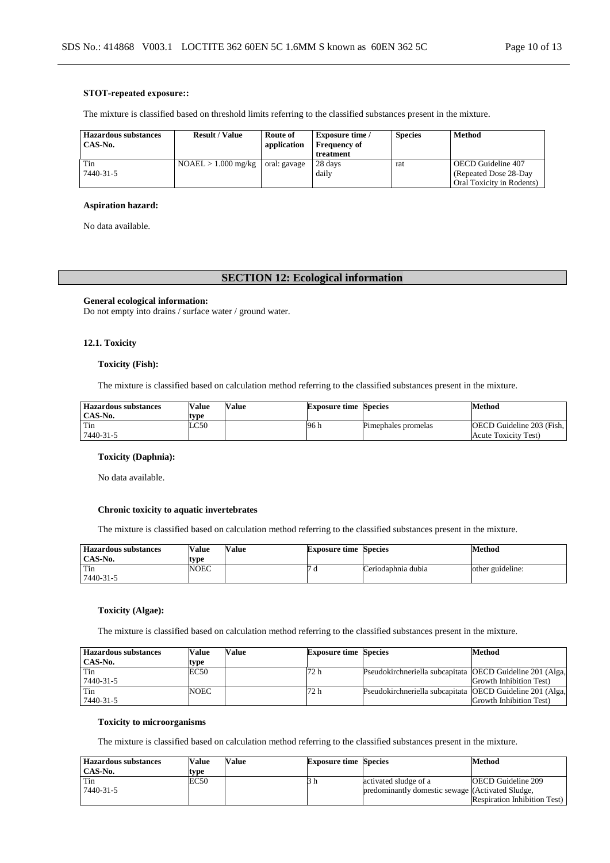#### **STOT-repeated exposure::**

The mixture is classified based on threshold limits referring to the classified substances present in the mixture.

| <b>Hazardous substances</b><br>CAS-No. | <b>Result / Value</b> | Route of<br>application | <b>Exposure time</b> /<br><b>Frequency of</b><br>treatment | <b>Species</b> | Method                                                                    |
|----------------------------------------|-----------------------|-------------------------|------------------------------------------------------------|----------------|---------------------------------------------------------------------------|
| Tin<br>7440-31-5                       | $NOAEL > 1.000$ mg/kg | oral: gavage            | 28 days<br>daily                                           | rat            | OECD Guideline 407<br>(Repeated Dose 28-Day)<br>Oral Toxicity in Rodents) |

#### **Aspiration hazard:**

No data available.

### **SECTION 12: Ecological information**

#### **General ecological information:**

Do not empty into drains / surface water / ground water.

#### **12.1. Toxicity**

#### **Toxicity (Fish):**

The mixture is classified based on calculation method referring to the classified substances present in the mixture.

| <b>Hazardous substances</b><br>CAS-No. | <b>Value</b><br>type | Value | <b>Exposure time Species</b> |                     | Method                                            |
|----------------------------------------|----------------------|-------|------------------------------|---------------------|---------------------------------------------------|
| Tin<br>7440-31-5                       | LC50                 |       | 96 h                         | Pimephales promelas | OECD Guideline 203 (Fish,<br>Acute Toxicity Test) |

### **Toxicity (Daphnia):**

No data available.

### **Chronic toxicity to aquatic invertebrates**

The mixture is classified based on calculation method referring to the classified substances present in the mixture.

| <b>Hazardous substances</b> | Value | <b>Value</b> | <b>Exposure time Species</b> |                    | Method           |
|-----------------------------|-------|--------------|------------------------------|--------------------|------------------|
| CAS-No.                     | type  |              |                              |                    |                  |
| Tin                         | NOEC  |              | u                            | Ceriodaphnia dubia | other guideline: |
| 7440-31-5                   |       |              |                              |                    |                  |

### **Toxicity (Algae):**

The mixture is classified based on calculation method referring to the classified substances present in the mixture.

| <b>Hazardous substances</b> | Value | Value | <b>Exposure time Species</b> |                                                           | Method                  |
|-----------------------------|-------|-------|------------------------------|-----------------------------------------------------------|-------------------------|
| CAS-No.                     | type  |       |                              |                                                           |                         |
| Tin                         | EC50  |       | 72 h                         | Pseudokirchneriella subcapitata OECD Guideline 201 (Alga, |                         |
| 7440-31-5                   |       |       |                              |                                                           | Growth Inhibition Test) |
| Tin                         | NOEC  |       | 72 h                         | Pseudokirchneriella subcapitata OECD Guideline 201 (Alga, |                         |
| 7440-31-5                   |       |       |                              |                                                           | Growth Inhibition Test) |

#### **Toxicity to microorganisms**

The mixture is classified based on calculation method referring to the classified substances present in the mixture.

| <b>Hazardous substances</b> | Value | Value | <b>Exposure time Species</b> |                                                  | Method                              |
|-----------------------------|-------|-------|------------------------------|--------------------------------------------------|-------------------------------------|
| CAS-No.                     | tvpe  |       |                              |                                                  |                                     |
| Tin                         | EC50  |       |                              | activated sludge of a                            | <b>OECD</b> Guideline 209           |
| 7440-31-5                   |       |       |                              | predominantly domestic sewage (Activated Sludge, |                                     |
|                             |       |       |                              |                                                  | <b>Respiration Inhibition Test)</b> |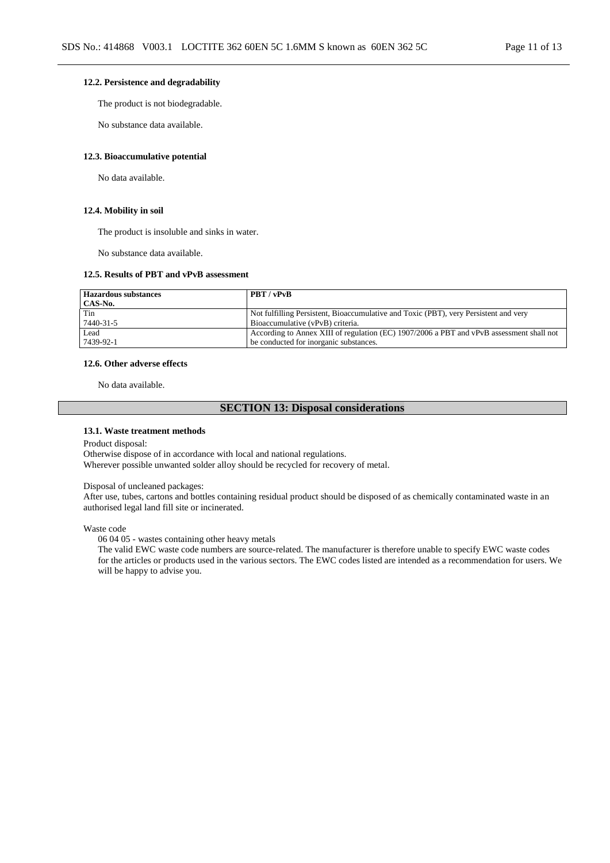#### **12.2. Persistence and degradability**

The product is not biodegradable.

No substance data available.

#### **12.3. Bioaccumulative potential**

No data available.

#### **12.4. Mobility in soil**

The product is insoluble and sinks in water.

No substance data available.

#### **12.5. Results of PBT and vPvB assessment**

| <b>Hazardous substances</b> | <b>PBT</b> / vPvB                                                                        |
|-----------------------------|------------------------------------------------------------------------------------------|
| CAS-No.                     |                                                                                          |
| Tin                         | Not fulfilling Persistent, Bioaccumulative and Toxic (PBT), very Persistent and very     |
| 7440-31-5                   | Bioaccumulative (vPvB) criteria.                                                         |
| Lead                        | According to Annex XIII of regulation (EC) 1907/2006 a PBT and vPvB assessment shall not |
| 7439-92-1                   | be conducted for inorganic substances.                                                   |

#### **12.6. Other adverse effects**

No data available.

#### **SECTION 13: Disposal considerations**

#### **13.1. Waste treatment methods**

Product disposal:

Otherwise dispose of in accordance with local and national regulations. Wherever possible unwanted solder alloy should be recycled for recovery of metal.

#### Disposal of uncleaned packages:

After use, tubes, cartons and bottles containing residual product should be disposed of as chemically contaminated waste in an authorised legal land fill site or incinerated.

Waste code

06 04 05 - wastes containing other heavy metals

The valid EWC waste code numbers are source-related. The manufacturer is therefore unable to specify EWC waste codes for the articles or products used in the various sectors. The EWC codes listed are intended as a recommendation for users. We will be happy to advise you.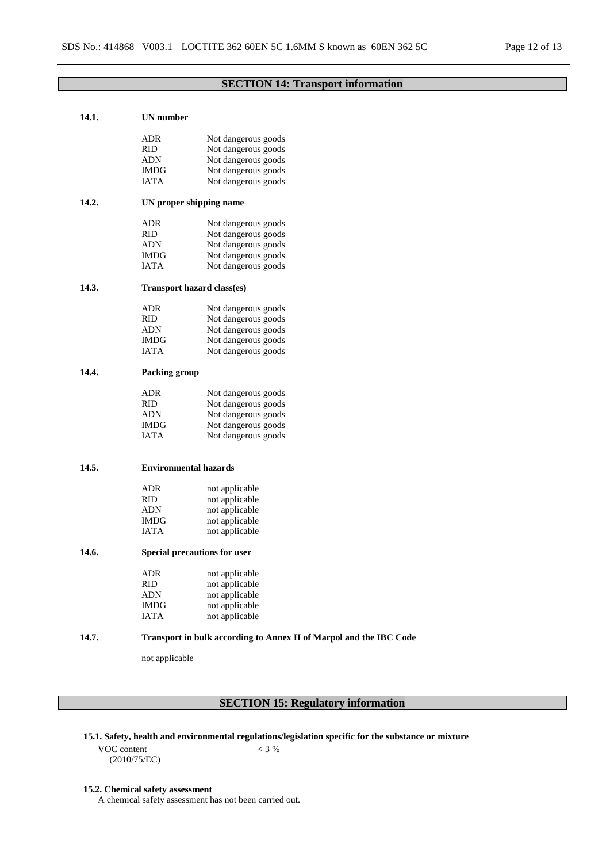### **SECTION 14: Transport information**

| 14.1. | <b>UN</b> number             |                                                                    |
|-------|------------------------------|--------------------------------------------------------------------|
|       | ADR                          | Not dangerous goods                                                |
|       | RID                          | Not dangerous goods                                                |
|       | <b>ADN</b>                   | Not dangerous goods                                                |
|       | <b>IMDG</b>                  | Not dangerous goods                                                |
|       | IATA                         | Not dangerous goods                                                |
| 14.2. |                              | UN proper shipping name                                            |
|       | ADR                          | Not dangerous goods                                                |
|       | <b>RID</b>                   | Not dangerous goods                                                |
|       | ADN                          | Not dangerous goods                                                |
|       | IMDG                         | Not dangerous goods                                                |
|       | IATA                         | Not dangerous goods                                                |
| 14.3. |                              | <b>Transport hazard class(es)</b>                                  |
|       | ADR                          | Not dangerous goods                                                |
|       | <b>RID</b>                   | Not dangerous goods                                                |
|       | ADN                          | Not dangerous goods                                                |
|       | IMDG                         | Not dangerous goods                                                |
|       | IATA                         | Not dangerous goods                                                |
|       |                              |                                                                    |
| 14.4. | <b>Packing group</b>         |                                                                    |
|       | ADR                          | Not dangerous goods                                                |
|       | <b>RID</b>                   | Not dangerous goods                                                |
|       | ADN                          | Not dangerous goods                                                |
|       | IMDG                         | Not dangerous goods                                                |
|       | <b>IATA</b>                  | Not dangerous goods                                                |
| 14.5. | <b>Environmental hazards</b> |                                                                    |
|       |                              |                                                                    |
|       | <b>ADR</b>                   | not applicable                                                     |
|       | RID                          | not applicable                                                     |
|       | ADN                          | not applicable                                                     |
|       | IMDG                         | not applicable                                                     |
|       | IATA                         | not applicable                                                     |
| 14.6. |                              | Special precautions for user                                       |
|       | ADR                          | not applicable                                                     |
|       | RID.                         | not applicable                                                     |
|       | ADN                          | not applicable                                                     |
|       | IMDG                         | not applicable                                                     |
|       | IATA                         | not applicable                                                     |
| 14.7. |                              | Transport in bulk according to Annex II of Marpol and the IBC Code |
|       | not applicable               |                                                                    |
|       |                              |                                                                    |

# **SECTION 15: Regulatory information**

- **15.1. Safety, health and environmental regulations/legislation specific for the substance or mixture**
	- VOC content (2010/75/EC)

## $< 3 %$

### **15.2. Chemical safety assessment**

A chemical safety assessment has not been carried out.